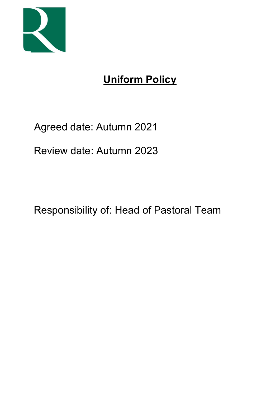

# Uniform Policy

## Agreed date: Autumn 2021

Review date: Autumn 2023

Responsibility of: Head of Pastoral Team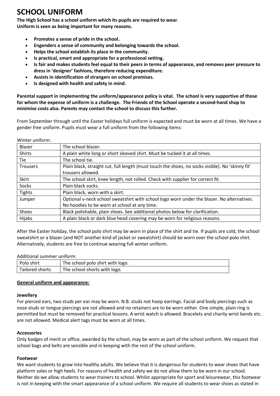## SCHOOL UNIFORM

The High School has a school uniform which its pupils are required to wear. Uniform is seen as being important for many reasons.

- Promotes a sense of pride in the school.
- Engenders a sense of community and belonging towards the school.
- Helps the school establish its place in the community.
- Is practical, smart and appropriate for a professional setting.
- Is fair and makes students feel equal to their peers in terms of appearance, and removes peer pressure to dress in 'designer' fashions, therefore reducing expenditure.
- Assists in identification of strangers on school premises.
- Is designed with health and safety in mind.

Parental support in implementing the uniform/appearance policy is vital. The school is very supportive of those for whom the expense of uniform is a challenge. The Friends of the School operate a second-hand shop to minimise costs also. Parents may contact the school to discuss this further.

From September through until the Easter holidays full uniform is expected and must be worn at all times. We have a gender free uniform. Pupils must wear a full uniform from the following items:

| Winter uniform: |                                                                                                  |  |  |
|-----------------|--------------------------------------------------------------------------------------------------|--|--|
| Blazer          | The school blazer.                                                                               |  |  |
| Shirts          | A plain white long or short sleeved shirt. Must be tucked it at all times.                       |  |  |
| <b>Tie</b>      | The school tie.                                                                                  |  |  |
| <b>Trousers</b> | Plain black, straight cut, full length (must touch the shoes, no socks visible). No 'skinny fit' |  |  |
|                 | trousers allowed.                                                                                |  |  |
| Skirt           | The school skirt, knee length, not rolled. Check with supplier for correct fit.                  |  |  |
| Socks           | Plain black socks.                                                                               |  |  |
| <b>Tights</b>   | Plain black, worn with a skirt.                                                                  |  |  |
| Jumper          | Optional v-neck school sweatshirt with school logo worn under the blazer. No alternatives.       |  |  |
|                 | No hoodies to be worn at school at any time.                                                     |  |  |
| Shoes           | Black polishable, plain shoes. See additional photos below for clarification.                    |  |  |
| Hijabs          | A plain black or dark blue head covering may be worn for religious reasons.                      |  |  |

After the Easter holiday, the school polo shirt may be worn in place of the shirt and tie. If pupils are cold, the school sweatshirt or a blazer (and NOT another kind of jacket or sweatshirt) should be worn over the school polo shirt. Alternatively, students are free to continue wearing full winter uniform.

#### Additional summer uniform:

| Polo shirt      | The school polo shirt with logo. |
|-----------------|----------------------------------|
| Tailored shorts | The school shorts with logo.     |

#### General uniform and appearance:

#### **Jewellery**

For pierced ears, two studs per ear may be worn. N.B. studs not hoop earrings. Facial and body piercings such as nose studs or tongue piercings are not allowed and no retainers are to be worn either. One simple, plain ring is permitted but must be removed for practical lessons. A wrist watch is allowed. Bracelets and charity wrist bands etc. are not allowed. Medical alert tags must be worn at all times.

#### Accessories

Only badges of merit or office, awarded by the school, may be worn as part of the school uniform. We request that school bags and belts are sensible and in keeping with the rest of the school uniform.

#### Footwear

We want students to grow into healthy adults. We believe that it is dangerous for students to wear shoes that have platform soles or high heels. For reasons of health and safety we do not allow them to be worn in our school. Neither do we allow students to wear trainers to school. Whilst appropriate for sport and leisurewear, this footwear is not in keeping with the smart appearance of a school uniform. We require all students to wear shoes as stated in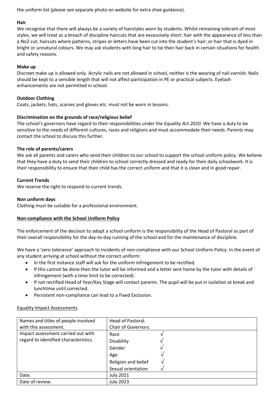the uniform list (please see separate photo on website for extra shoe guidance).

### **Hair**

We recognise that there will always be a variety of hairstyles worn by students. Whilst remaining tolerant of most styles, we will treat as a breach of discipline haircuts that are excessively short: hair with the appearance of less than a No2 cut; haircuts where patterns, stripes or letters have been cut into the student's hair; or hair that is dyed in bright or unnatural colours. We may ask students with long hair to tie their hair back in certain situations for health and safety reasons.

### Make up

Discreet make up is allowed only. Acrylic nails are not allowed in school, neither is the wearing of nail varnish. Nails should be kept to a sensible length that will not affect participation in PE or practical subjects. Eyelash enhancements are not permitted in school.

### Outdoor Clothing

Coats, jackets, hats, scarves and gloves etc. must not be worn in lessons.

#### Discrimination on the grounds of race/religious belief

The school's governors have regard to their responsibilities under the Equality Act 2010. We have a duty to be sensitive to the needs of different cultures, races and religions and must accommodate their needs. Parents may contact the school to discuss this further.

#### The role of parents/carers

We ask all parents and carers who send their children to our school to support the school uniform policy. We believe that they have a duty to send their children to school correctly dressed and ready for their daily schoolwork. It is their responsibility to ensure that their child has the correct uniform and that it is clean and in good repair.

#### Current Trends

We reserve the right to respond to current trends.

#### Non uniform days

Clothing must be suitable for a professional environment.

#### Non-compliance with the School Uniform Policy

The enforcement of the decision to adopt a school uniform is the responsibility of the Head of Pastoral as part of their overall responsibility for the day-to-day running of the school and for the maintenance of discipline.

We have a 'zero tolerance' approach to incidents of non-compliance with our School Uniform Policy. In the event of any student arriving at school without the correct uniform:

- In the first instance staff will ask for the uniform infringement to be rectified.
- If this cannot be done then the tutor will be informed and a letter sent home by the tutor with details of infringement (with a time limit to be corrected).
- If not rectified Head of Year/Key Stage will contact parents. The pupil will be put in isolation at break and lunchtime until corrected.
- Persistent non-compliance can lead to a Fixed Exclusion.

#### Equality Impact Assessments

| Names and titles of people involved   | Head of Pastoral.   |  |
|---------------------------------------|---------------------|--|
| with this assessment.                 | Chair of Governors. |  |
| Impact assessment carried out with    | Race                |  |
| regard to identified characteristics. | Disability          |  |
|                                       | Gender              |  |
|                                       | Age                 |  |
|                                       | Religion and belief |  |
|                                       | Sexual orientation  |  |
| Date.                                 | <b>July 2021</b>    |  |
| Date of review.                       | <b>July 2023</b>    |  |